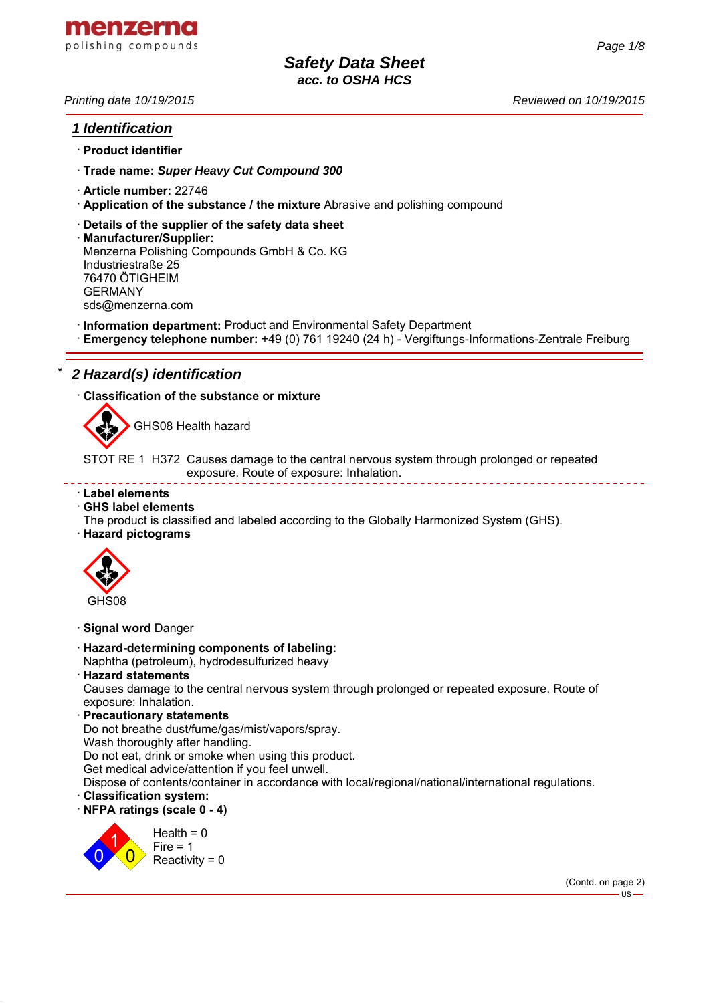

# *1 Identification*

- · **Product identifier**
- · **Trade name:** *Super Heavy Cut Compound 300*
- · **Article number:** 22746
- · **Application of the substance / the mixture** Abrasive and polishing compound
- · **Details of the supplier of the safety data sheet**
- · **Manufacturer/Supplier:** Menzerna Polishing Compounds GmbH & Co. KG Industriestraße 25 76470 ÖTIGHEIM GERMANY sds@menzerna.com
- · **Information department:** Product and Environmental Safety Department
- · **Emergency telephone number:** +49 (0) 761 19240 (24 h) Vergiftungs-Informations-Zentrale Freiburg

# \* *2 Hazard(s) identification*

· **Classification of the substance or mixture**



GHS08 Health hazard

STOT RE 1 H372 Causes damage to the central nervous system through prolonged or repeated exposure. Route of exposure: Inhalation.

#### · **Label elements**

- · **GHS label elements**
- The product is classified and labeled according to the Globally Harmonized System (GHS).
- · **Hazard pictograms**



· **Signal word** Danger

- · **Hazard-determining components of labeling:** Naphtha (petroleum), hydrodesulfurized heavy
- · **Hazard statements**

Causes damage to the central nervous system through prolonged or repeated exposure. Route of exposure: Inhalation.

· **Precautionary statements**

Do not breathe dust/fume/gas/mist/vapors/spray.

Wash thoroughly after handling.

Do not eat, drink or smoke when using this product.

Get medical advice/attention if you feel unwell.

Dispose of contents/container in accordance with local/regional/national/international regulations.

- · **Classification system:**
- · **NFPA ratings (scale 0 4)**



(Contd. on page 2)

 $-11S -$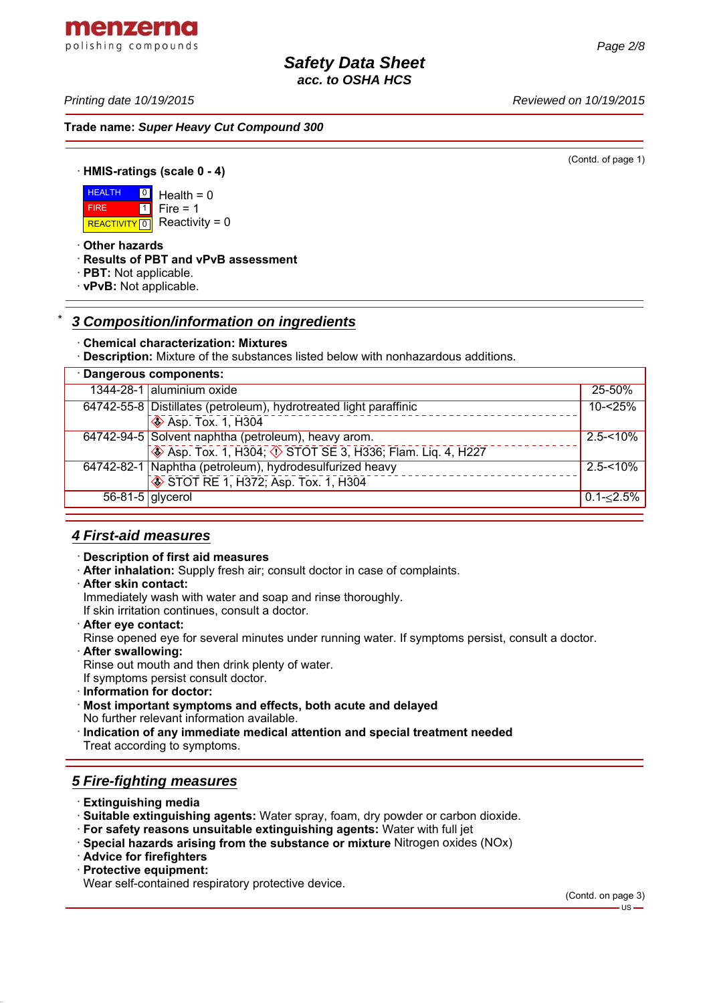*Printing date 10/19/2015 Reviewed on 10/19/2015*

menzerna polishing compounds

**Trade name:** *Super Heavy Cut Compound 300*

(Contd. of page 1)

· **HMIS-ratings (scale 0 - 4)**

**HEALTH** REACTIVITY  $\boxed{0}$  Reactivity = 0  $\boxed{0}$  $\overline{1}$  $Health = 0$  $Fire = 1$ 

· **Other hazards**

FIRE

- · **Results of PBT and vPvB assessment**
- · **PBT:** Not applicable.
- · **vPvB:** Not applicable.

# \* *3 Composition/information on ingredients*

#### · **Chemical characterization: Mixtures**

· **Description:** Mixture of the substances listed below with nonhazardous additions.

| · Dangerous components: |                                                                                                |                    |
|-------------------------|------------------------------------------------------------------------------------------------|--------------------|
|                         | 1344-28-1 aluminium oxide                                                                      | 25-50%             |
|                         | 64742-55-8 Distillates (petroleum), hydrotreated light paraffinic<br><b>SASP.</b> Tox. 1, H304 | 10-<25%            |
|                         | 64742-94-5 Solvent naphtha (petroleum), heavy arom.<br>STOT SE 3, H336; Flam. Liq. 4, H227     | $2.5 - 10%$        |
|                         | 64742-82-1 Naphtha (petroleum), hydrodesulfurized heavy<br>STOT RE 1, H372; Asp. Tox. 1, H304  | $2.5 - 10\%$       |
| $56-81-5$ glycerol      |                                                                                                | $0.1 - \leq 2.5\%$ |

# *4 First-aid measures*

#### · **Description of first aid measures**

- · **After inhalation:** Supply fresh air; consult doctor in case of complaints.
- · **After skin contact:**

Immediately wash with water and soap and rinse thoroughly.

If skin irritation continues, consult a doctor.

· **After eye contact:**

Rinse opened eye for several minutes under running water. If symptoms persist, consult a doctor.

· **After swallowing:**

Rinse out mouth and then drink plenty of water.

If symptoms persist consult doctor.

- · **Information for doctor:**
- · **Most important symptoms and effects, both acute and delayed**
- No further relevant information available.
- · **Indication of any immediate medical attention and special treatment needed** Treat according to symptoms.

# *5 Fire-fighting measures*

- · **Extinguishing media**
- · **Suitable extinguishing agents:** Water spray, foam, dry powder or carbon dioxide.
- · **For safety reasons unsuitable extinguishing agents:** Water with full jet
- · **Special hazards arising from the substance or mixture** Nitrogen oxides (NOx)
- · **Advice for firefighters**
- · **Protective equipment:**

Wear self-contained respiratory protective device.

(Contd. on page 3)  $-11S -$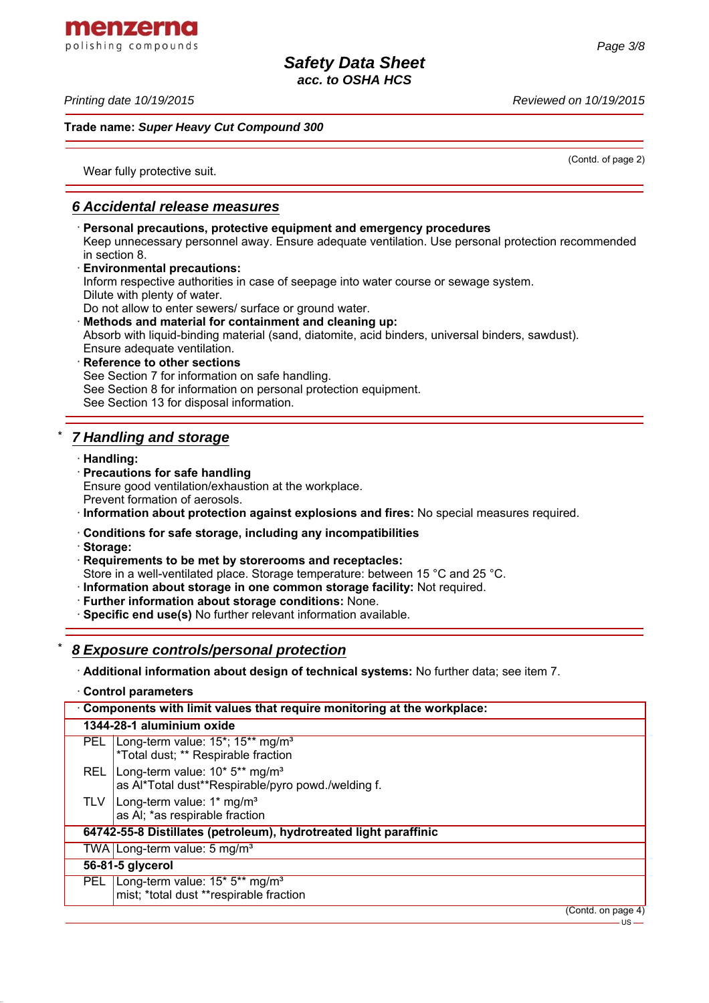menzerna polishing compounds

*Printing date 10/19/2015 Reviewed on 10/19/2015*

## **Trade name:** *Super Heavy Cut Compound 300*

(Contd. of page 2)

Wear fully protective suit.

# *6 Accidental release measures*

· **Personal precautions, protective equipment and emergency procedures** Keep unnecessary personnel away. Ensure adequate ventilation. Use personal protection recommended in section 8. · **Environmental precautions:** Inform respective authorities in case of seepage into water course or sewage system. Dilute with plenty of water. Do not allow to enter sewers/ surface or ground water. · **Methods and material for containment and cleaning up:** Absorb with liquid-binding material (sand, diatomite, acid binders, universal binders, sawdust). Ensure adequate ventilation. · **Reference to other sections** See Section 7 for information on safe handling. See Section 8 for information on personal protection equipment. See Section 13 for disposal information. \* *7 Handling and storage* · **Handling:**

# · **Precautions for safe handling**

- Ensure good ventilation/exhaustion at the workplace.
- Prevent formation of aerosols.
- · **Information about protection against explosions and fires:** No special measures required.
- · **Conditions for safe storage, including any incompatibilities**
- · **Storage:**
- · **Requirements to be met by storerooms and receptacles:**

Store in a well-ventilated place. Storage temperature: between 15 °C and 25 °C.

· **Information about storage in one common storage facility:** Not required.

- · **Further information about storage conditions:** None.
- · **Specific end use(s)** No further relevant information available.

# \* *8 Exposure controls/personal protection*

· **Additional information about design of technical systems:** No further data; see item 7.

· **Control parameters**

| Components with limit values that require monitoring at the workplace: |                                                                                                                   |                    |
|------------------------------------------------------------------------|-------------------------------------------------------------------------------------------------------------------|--------------------|
|                                                                        | 1344-28-1 aluminium oxide                                                                                         |                    |
|                                                                        | PEL Long-term value: 15 <sup>*</sup> ; 15 <sup>**</sup> mg/m <sup>3</sup><br>*Total dust; ** Respirable fraction  |                    |
| REL                                                                    | Long-term value: 10* 5** mg/m <sup>3</sup><br>as Al*Total dust**Respirable/pyro powd./welding f.                  |                    |
| TLV                                                                    | Long-term value: 1* mg/m <sup>3</sup><br>as AI; *as respirable fraction                                           |                    |
|                                                                        | 64742-55-8 Distillates (petroleum), hydrotreated light paraffinic                                                 |                    |
|                                                                        | TWA   Long-term value: $\overline{5}$ mg/m <sup>3</sup>                                                           |                    |
|                                                                        | 56-81-5 glycerol                                                                                                  |                    |
|                                                                        | PEL Long-term value: 15 <sup>*</sup> 5 <sup>**</sup> mg/m <sup>3</sup><br>mist; *total dust **respirable fraction |                    |
|                                                                        |                                                                                                                   | (Contd. on page 4) |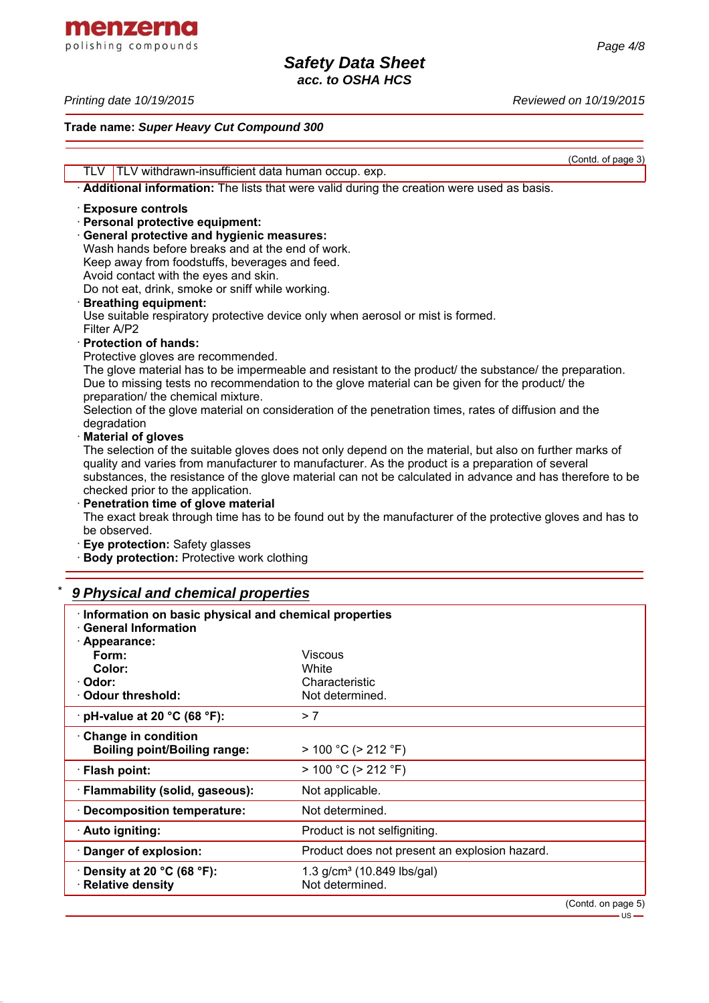menzerna polishing compounds

#### *Printing date 10/19/2015 Reviewed on 10/19/2015*

#### **Trade name:** *Super Heavy Cut Compound 300*

(Contd. of page 3)

 $-US -$ 

TLV TLV withdrawn-insufficient data human occup. exp. · **Additional information:** The lists that were valid during the creation were used as basis. · **Exposure controls** · **Personal protective equipment:** · **General protective and hygienic measures:** Wash hands before breaks and at the end of work. Keep away from foodstuffs, beverages and feed. Avoid contact with the eyes and skin. Do not eat, drink, smoke or sniff while working. · **Breathing equipment:** Use suitable respiratory protective device only when aerosol or mist is formed. Filter A/P2 · **Protection of hands:** Protective gloves are recommended. The glove material has to be impermeable and resistant to the product/ the substance/ the preparation. Due to missing tests no recommendation to the glove material can be given for the product/ the preparation/ the chemical mixture. Selection of the glove material on consideration of the penetration times, rates of diffusion and the degradation · **Material of gloves** The selection of the suitable gloves does not only depend on the material, but also on further marks of quality and varies from manufacturer to manufacturer. As the product is a preparation of several substances, the resistance of the glove material can not be calculated in advance and has therefore to be checked prior to the application. · **Penetration time of glove material** The exact break through time has to be found out by the manufacturer of the protective gloves and has to be observed.

· **Eye protection:** Safety glasses

**Body protection:** Protective work clothing

# \* *9 Physical and chemical properties*

| · Information on basic physical and chemical properties<br>· General Information |                                               |  |
|----------------------------------------------------------------------------------|-----------------------------------------------|--|
| · Appearance:                                                                    |                                               |  |
| Form:                                                                            | <b>Viscous</b>                                |  |
| Color:                                                                           | White                                         |  |
| · Odor:                                                                          | Characteristic                                |  |
| Odour threshold:                                                                 | Not determined.                               |  |
| $\cdot$ pH-value at 20 °C (68 °F):                                               | > 7                                           |  |
| Change in condition                                                              |                                               |  |
| <b>Boiling point/Boiling range:</b>                                              | $> 100 °C$ ( $> 212 °F$ )                     |  |
| ∴ Flash point:                                                                   | $> 100 °C$ ( $> 212 °F$ )                     |  |
| · Flammability (solid, gaseous):                                                 | Not applicable.                               |  |
| · Decomposition temperature:                                                     | Not determined.                               |  |
| · Auto igniting:                                                                 | Product is not selfigniting.                  |  |
| · Danger of explosion:                                                           | Product does not present an explosion hazard. |  |
| Density at 20 $^{\circ}$ C (68 $^{\circ}$ F):                                    | 1.3 $g/cm^3$ (10.849 lbs/gal)                 |  |
| · Relative density                                                               | Not determined.                               |  |
|                                                                                  | (Contd. on page 5)                            |  |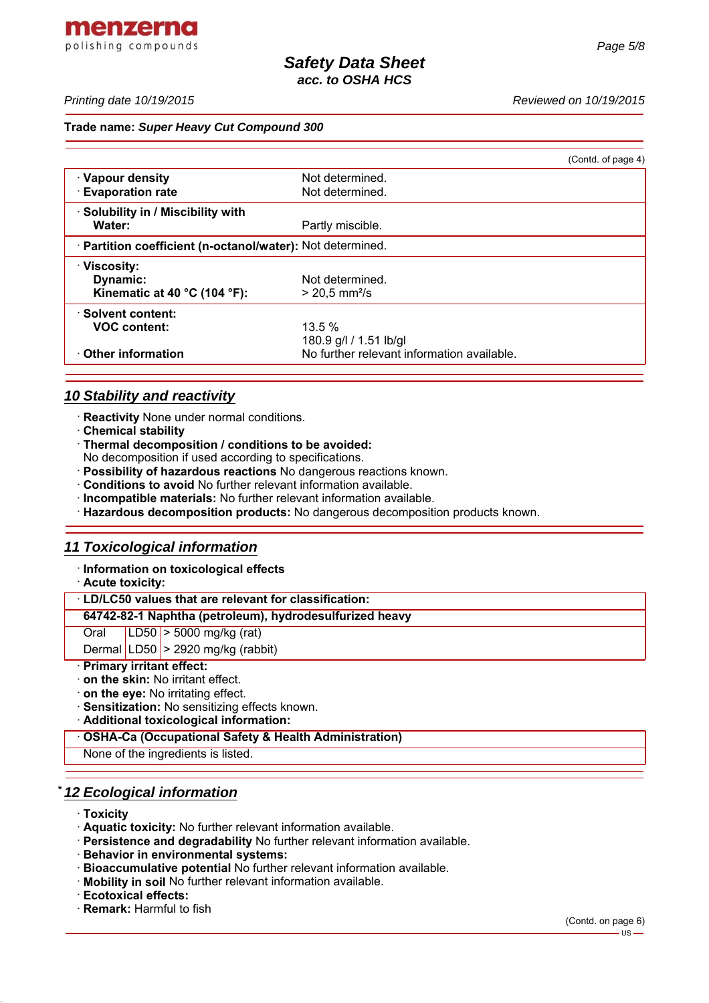*Page 5/8*

#### **Trade name:** *Super Heavy Cut Compound 300*

|                                                            |                                            | (Contd. of page 4) |
|------------------------------------------------------------|--------------------------------------------|--------------------|
| · Vapour density                                           | Not determined.                            |                    |
| <b>Evaporation rate</b>                                    | Not determined.                            |                    |
| · Solubility in / Miscibility with                         |                                            |                    |
| Water:                                                     | Partly miscible.                           |                    |
| · Partition coefficient (n-octanol/water): Not determined. |                                            |                    |
| $\cdot$ Viscosity:                                         |                                            |                    |
| Dynamic:                                                   | Not determined.                            |                    |
| Kinematic at 40 $^{\circ}$ C (104 $^{\circ}$ F):           | $> 20.5$ mm <sup>2</sup> /s                |                    |
| ⋅ Solvent content:                                         |                                            |                    |
| <b>VOC content:</b>                                        | $13.5\%$                                   |                    |
|                                                            | 180.9 g/l / 1.51 lb/gl                     |                    |
| ⋅ Other information                                        | No further relevant information available. |                    |

# *10 Stability and reactivity*

- · **Reactivity** None under normal conditions.
- · **Chemical stability**
- · **Thermal decomposition / conditions to be avoided:**
- No decomposition if used according to specifications.
- · **Possibility of hazardous reactions** No dangerous reactions known.
- · **Conditions to avoid** No further relevant information available.
- · **Incompatible materials:** No further relevant information available.
- · **Hazardous decomposition products:** No dangerous decomposition products known.

# *11 Toxicological information*

- · **Information on toxicological effects**
- · **Acute toxicity:**

· **LD/LC50 values that are relevant for classification:**

## **64742-82-1 Naphtha (petroleum), hydrodesulfurized heavy**

Oral LD50 > 5000 mg/kg (rat)

Dermal  $|LD50| > 2920$  mg/kg (rabbit)

## · **Primary irritant effect:**

- · **on the skin:** No irritant effect.
- · **on the eye:** No irritating effect.
- · **Sensitization:** No sensitizing effects known.
- · **Additional toxicological information:**

· **OSHA-Ca (Occupational Safety & Health Administration)**

None of the ingredients is listed.

# \* *12 Ecological information*

- · **Toxicity**
- · **Aquatic toxicity:** No further relevant information available.
- · **Persistence and degradability** No further relevant information available.
- · **Behavior in environmental systems:**
- · **Bioaccumulative potential** No further relevant information available.
- · **Mobility in soil** No further relevant information available.
- · **Ecotoxical effects:**
- · **Remark:** Harmful to fish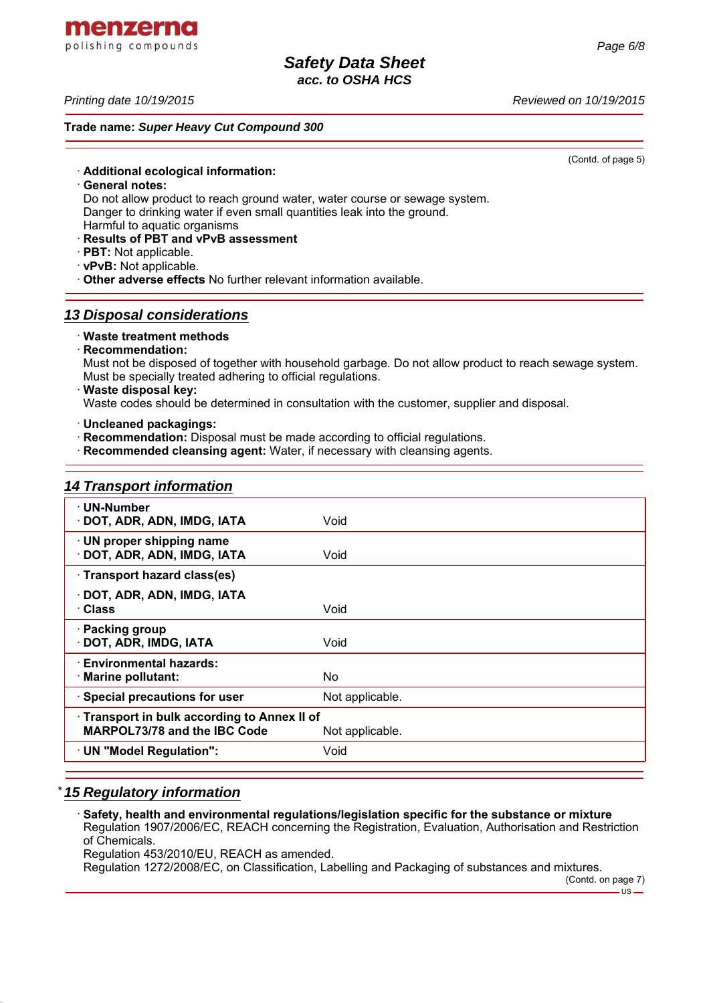*Printing date 10/19/2015 Reviewed on 10/19/2015*

**Trade name:** *Super Heavy Cut Compound 300*

· **Additional ecological information:**

· **General notes:**

Do not allow product to reach ground water, water course or sewage system. Danger to drinking water if even small quantities leak into the ground.

Harmful to aquatic organisms

- · **Results of PBT and vPvB assessment**
- · **PBT:** Not applicable.
- · **vPvB:** Not applicable.

· **Other adverse effects** No further relevant information available.

# *13 Disposal considerations*

## · **Waste treatment methods**

· **Recommendation:**

Must not be disposed of together with household garbage. Do not allow product to reach sewage system. Must be specially treated adhering to official regulations.

· **Waste disposal key:**

Waste codes should be determined in consultation with the customer, supplier and disposal.

· **Uncleaned packagings:**

- · **Recommendation:** Disposal must be made according to official regulations.
- · **Recommended cleansing agent:** Water, if necessary with cleansing agents.

# *14 Transport information*

| · UN-Number<br>· DOT, ADR, ADN, IMDG, IATA                                                    | Void            |
|-----------------------------------------------------------------------------------------------|-----------------|
| · UN proper shipping name<br>· DOT, ADR, ADN, IMDG, IATA                                      | Void            |
| · Transport hazard class(es)                                                                  |                 |
| · DOT, ADR, ADN, IMDG, IATA<br>· Class                                                        | Void            |
| $\cdot$ Packing group<br>· DOT, ADR, IMDG, IATA                                               | Void            |
| <b>Environmental hazards:</b><br>· Marine pollutant:                                          | No.             |
| · Special precautions for user                                                                | Not applicable. |
| Transport in bulk according to Annex II of<br>MARPOL73/78 and the IBC Code<br>Not applicable. |                 |
| · UN "Model Regulation":                                                                      | Void            |
|                                                                                               |                 |

# \* *15 Regulatory information*

· **Safety, health and environmental regulations/legislation specific for the substance or mixture** Regulation 1907/2006/EC, REACH concerning the Registration, Evaluation, Authorisation and Restriction of Chemicals. Regulation 453/2010/EU, REACH as amended. Regulation 1272/2008/EC, on Classification, Labelling and Packaging of substances and mixtures.

(Contd. of page 5)

menzerna polishing compounds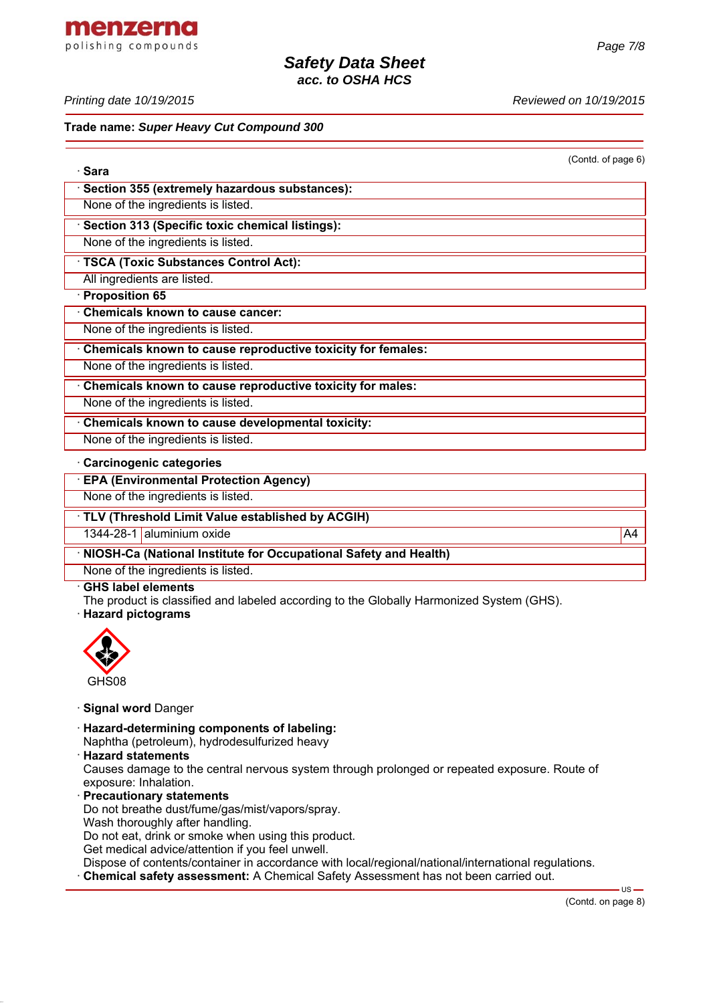menzerna polishing compounds

*Printing date 10/19/2015 Reviewed on 10/19/2015*

#### **Trade name:** *Super Heavy Cut Compound 300*

(Contd. of page 6)

| · Sara                                                      |  |  |
|-------------------------------------------------------------|--|--|
| Section 355 (extremely hazardous substances):               |  |  |
| None of the ingredients is listed.                          |  |  |
| · Section 313 (Specific toxic chemical listings):           |  |  |
| None of the ingredients is listed.                          |  |  |
| <b>TSCA (Toxic Substances Control Act):</b>                 |  |  |
| All ingredients are listed.                                 |  |  |
| · Proposition 65                                            |  |  |
| Chemicals known to cause cancer:                            |  |  |
| None of the ingredients is listed.                          |  |  |
| Chemicals known to cause reproductive toxicity for females: |  |  |
| None of the ingredients is listed.                          |  |  |
| Chemicals known to cause reproductive toxicity for males:   |  |  |
| None of the ingredients is listed.                          |  |  |
| Chemicals known to cause developmental toxicity:            |  |  |
| None of the ingredients is listed.                          |  |  |
| · Carcinogenic categories                                   |  |  |
| <b>EPA (Environmental Protection Agency)</b>                |  |  |
| None of the ingredients is listed.                          |  |  |
| 711177                                                      |  |  |

· **TLV (Threshold Limit Value established by ACGIH)**

1344-28-1 aluminium oxide A4

· **NIOSH-Ca (National Institute for Occupational Safety and Health)**

None of the ingredients is listed.

#### · **GHS label elements**

The product is classified and labeled according to the Globally Harmonized System (GHS).

· **Hazard pictograms**



#### · **Signal word** Danger

- · **Hazard-determining components of labeling:** Naphtha (petroleum), hydrodesulfurized heavy
- · **Hazard statements**

Causes damage to the central nervous system through prolonged or repeated exposure. Route of exposure: Inhalation.

- · **Precautionary statements** Do not breathe dust/fume/gas/mist/vapors/spray. Wash thoroughly after handling. Do not eat, drink or smoke when using this product. Get medical advice/attention if you feel unwell. Dispose of contents/container in accordance with local/regional/national/international regulations.
- · **Chemical safety assessment:** A Chemical Safety Assessment has not been carried out.

 $US -$